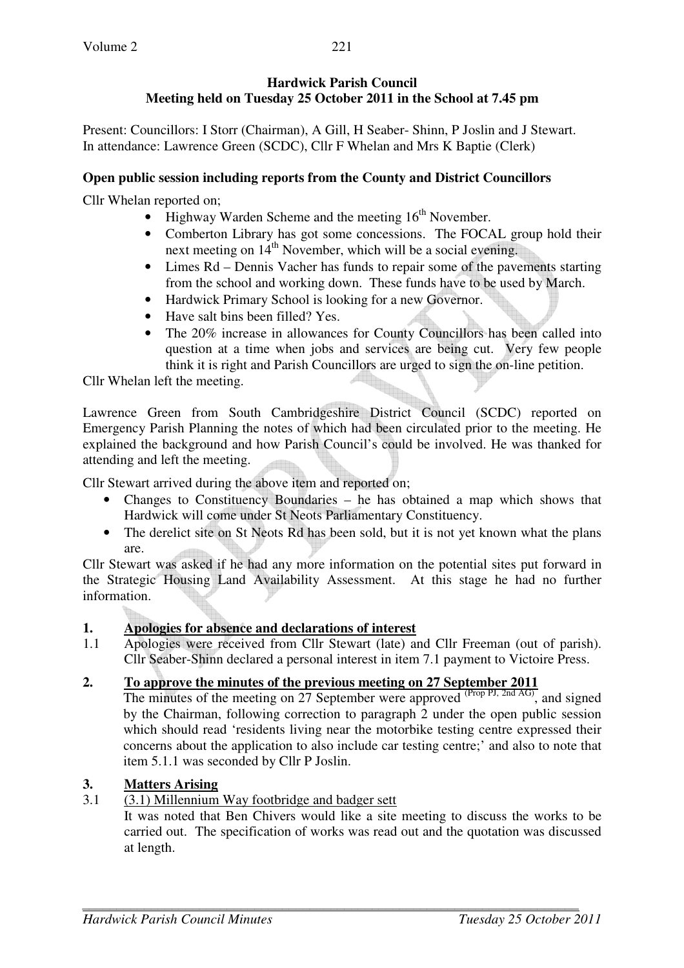## **Hardwick Parish Council Meeting held on Tuesday 25 October 2011 in the School at 7.45 pm**

Present: Councillors: I Storr (Chairman), A Gill, H Seaber- Shinn, P Joslin and J Stewart. In attendance: Lawrence Green (SCDC), Cllr F Whelan and Mrs K Baptie (Clerk)

#### **Open public session including reports from the County and District Councillors**

Cllr Whelan reported on;

- Highway Warden Scheme and the meeting  $16<sup>th</sup>$  November.
- Comberton Library has got some concessions. The FOCAL group hold their next meeting on  $14<sup>th</sup>$  November, which will be a social evening.
- Limes Rd Dennis Vacher has funds to repair some of the pavements starting from the school and working down. These funds have to be used by March.
- Hardwick Primary School is looking for a new Governor.
- Have salt bins been filled? Yes.
- The 20% increase in allowances for County Councillors has been called into question at a time when jobs and services are being cut. Very few people think it is right and Parish Councillors are urged to sign the on-line petition.

Cllr Whelan left the meeting.

Lawrence Green from South Cambridgeshire District Council (SCDC) reported on Emergency Parish Planning the notes of which had been circulated prior to the meeting. He explained the background and how Parish Council's could be involved. He was thanked for attending and left the meeting.

Cllr Stewart arrived during the above item and reported on;

- Changes to Constituency Boundaries he has obtained a map which shows that Hardwick will come under St Neots Parliamentary Constituency.
- The derelict site on St Neots Rd has been sold, but it is not yet known what the plans are.

Cllr Stewart was asked if he had any more information on the potential sites put forward in the Strategic Housing Land Availability Assessment. At this stage he had no further information.

## **1. Apologies for absence and declarations of interest**

1.1 Apologies were received from Cllr Stewart (late) and Cllr Freeman (out of parish). Cllr Seaber-Shinn declared a personal interest in item 7.1 payment to Victoire Press.

## **2. To approve the minutes of the previous meeting on 27 September 2011**

The minutes of the meeting on 27 September were approved  $(\text{Prop PJ}, 2n\overline{d} \overline{AG})$ , and signed by the Chairman, following correction to paragraph 2 under the open public session which should read 'residents living near the motorbike testing centre expressed their concerns about the application to also include car testing centre;' and also to note that item 5.1.1 was seconded by Cllr P Joslin.

## **3. Matters Arising**

3.1  $(3.1)$  Millennium Way footbridge and badger sett

It was noted that Ben Chivers would like a site meeting to discuss the works to be carried out. The specification of works was read out and the quotation was discussed at length.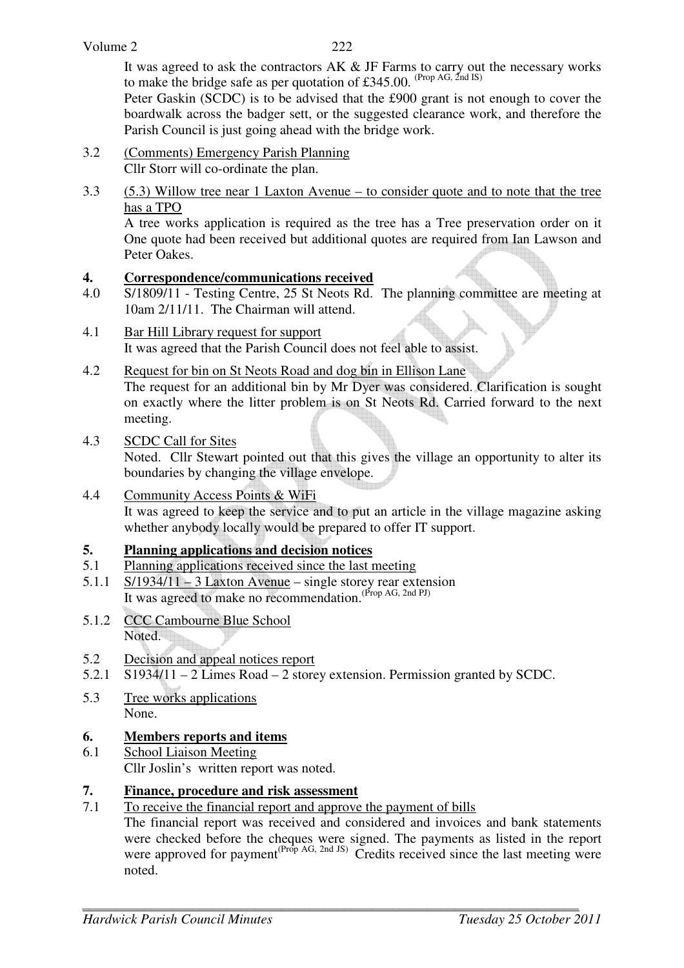It was agreed to ask the contractors AK & JF Farms to carry out the necessary works to make the bridge safe as per quotation of £345.00. (Prop AG, 2nd IS)

Peter Gaskin (SCDC) is to be advised that the £900 grant is not enough to cover the boardwalk across the badger sett, or the suggested clearance work, and therefore the Parish Council is just going ahead with the bridge work.

- 3.2 (Comments) Emergency Parish Planning Cllr Storr will co-ordinate the plan.
- 3.3 (5.3) Willow tree near 1 Laxton Avenue to consider quote and to note that the tree has a TPO

A tree works application is required as the tree has a Tree preservation order on it One quote had been received but additional quotes are required from Ian Lawson and Peter Oakes.

## **4. Correspondence/communications received**

- 4.0 S/1809/11 Testing Centre, 25 St Neots Rd. The planning committee are meeting at 10am 2/11/11. The Chairman will attend.
- 4.1 Bar Hill Library request for support It was agreed that the Parish Council does not feel able to assist.
- 4.2 Request for bin on St Neots Road and dog bin in Ellison Lane The request for an additional bin by Mr Dyer was considered. Clarification is sought on exactly where the litter problem is on St Neots Rd. Carried forward to the next meeting.
- 4.3 SCDC Call for Sites

Noted. Cllr Stewart pointed out that this gives the village an opportunity to alter its boundaries by changing the village envelope.

4.4 Community Access Points & WiFi It was agreed to keep the service and to put an article in the village magazine asking whether anybody locally would be prepared to offer IT support.

# **5. Planning applications and decision notices**

- 5.1 Planning applications received since the last meeting
- 5.1.1 S/1934/11 3 Laxton Avenue single storey rear extension It was agreed to make no recommendation.(Prop AG, 2nd PJ)
- 5.1.2 CCC Cambourne Blue School Noted.
- 5.2 Decision and appeal notices report
- 5.2.1 S1934/11 2 Limes Road 2 storey extension. Permission granted by SCDC.
- 5.3 Tree works applications None.

## **6. Members reports and items**

6.1 School Liaison Meeting Cllr Joslin's written report was noted.

# **7. Finance, procedure and risk assessment**

7.1 To receive the financial report and approve the payment of bills

The financial report was received and considered and invoices and bank statements were checked before the cheques were signed. The payments as listed in the report were approved for payment<sup>(Prop AG, 2nd JS)</sup> Credits received since the last meeting were noted.